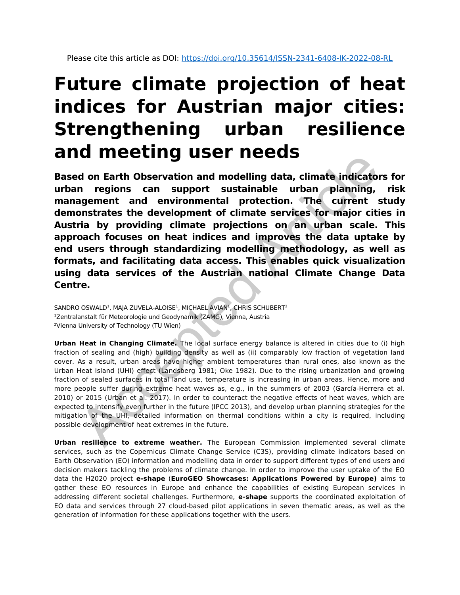## **Future climate projection of heat indices for Austrian major cities: Strengthening urban resilience and meeting user needs**

**Based on Earth Observation and modelling data, climate indicators for urban regions can support sustainable urban planning, risk management and environmental protection. The current study demonstrates the development of climate services for major cities in Austria by providing climate projections on an urban scale. This approach focuses on heat indices and improves the data uptake by end users through standardizing modelling methodology, as well as formats, and facilitating data access. This enables quick visualization using data services of the Austrian national Climate Change Data Centre. EXECTED MORE TREE CARE (S)**<br> **ACCEDENTS ARTICLE CAPE INTERNATION CONTINUES (S)**<br> **ACCEDENTS ARTIFUL ARTIFUL ARTIFUL ARTIFUL ARTIFUL ARTIFUL ARTIFUL ARTIFUL ARTIFUL ARTIFUL ARTIFUL ARTIFULNIO I<br>
DISTRIBUTE IN PROVIDING CON** 

 $\mathsf{SANDRO}\ \mathsf{OSWALD^1}$ , MAJA ZUVELA-ALOISE $^1$ , MICHAEL AVIAN $^1$ , CHRIS SCHUBERT $^2$ <sup>1</sup>Zentralanstalt für Meteorologie und Geodynamik (ZAMG), Vienna, Austria <sup>2</sup>Vienna University of Technology (TU Wien)

**Urban Heat in Changing Climate.** The local surface energy balance is altered in cities due to (i) high fraction of sealing and (high) building density as well as (ii) comparably low fraction of vegetation land cover. As a result, urban areas have higher ambient temperatures than rural ones, also known as the Urban Heat Island (UHI) effect (Landsberg 1981; Oke 1982). Due to the rising urbanization and growing fraction of sealed surfaces in total land use, temperature is increasing in urban areas. Hence, more and more people suffer during extreme heat waves as, e.g., in the summers of 2003 (García-Herrera et al. 2010) or 2015 (Urban et al. 2017). In order to counteract the negative effects of heat waves, which are expected to intensify even further in the future (IPCC 2013), and develop urban planning strategies for the mitigation of the UHI, detailed information on thermal conditions within a city is required, including possible development of heat extremes in the future.

**Urban resilience to extreme weather.** The European Commission implemented several climate services, such as the Copernicus Climate Change Service (C3S), providing climate indicators based on Earth Observation (EO) information and modelling data in order to support different types of end users and decision makers tackling the problems of climate change. In order to improve the user uptake of the EO data the H2020 project **e-shape** (**EuroGEO Showcases: Applications Powered by Europe)** aims to gather these EO resources in Europe and enhance the capabilities of existing European services in addressing different societal challenges. Furthermore, **e-shape** supports the coordinated exploitation of EO data and services through 27 cloud-based pilot applications in seven thematic areas, as well as the generation of information for these applications together with the users.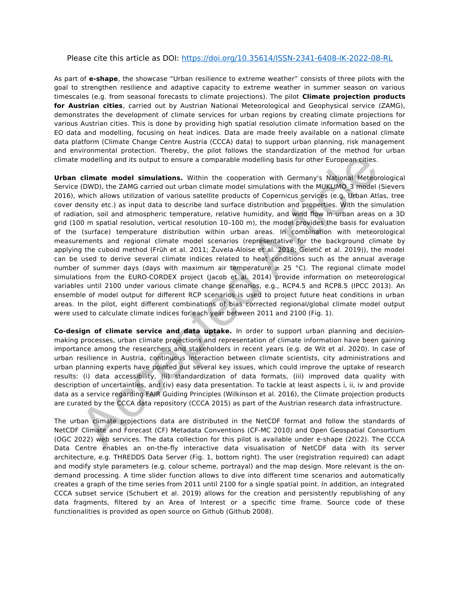## Please cite this article as DOI: <https://doi.org/10.35614/ISSN-2341-6408-IK-2022-08-RL>

As part of **e-shape**, the showcase "Urban resilience to extreme weather" consists of three pilots with the goal to strengthen resilience and adaptive capacity to extreme weather in summer season on various timescales (e.g. from seasonal forecasts to climate projections). The pilot **Climate projection products for Austrian cities**, carried out by Austrian National Meteorological and Geophysical service (ZAMG), demonstrates the development of climate services for urban regions by creating climate projections for various Austrian cities. This is done by providing high spatial resolution climate information based on the EO data and modelling, focusing on heat indices. Data are made freely available on a national climate data platform (Climate Change Centre Austria (CCCA) data) to support urban planning, risk management and environmental protection. Thereby, the pilot follows the standardization of the method for urban climate modelling and its output to ensure a comparable modelling basis for other European cities.

**Urban climate model simulations.** Within the cooperation with Germany's National Meteorological Service (DWD), the ZAMG carried out urban climate model simulations with the MUKLIMO\_3 model (Sievers 2016), which allows utilization of various satellite products of Copernicus services (e.g. Urban Atlas, tree cover density etc.) as input data to describe land surface distribution and properties. With the simulation of radiation, soil and atmospheric temperature, relative humidity, and wind flow in urban areas on a 3D grid (100 m spatial resolution, vertical resolution 10–100 m), the model provides the basis for evaluation of the (surface) temperature distribution within urban areas. In combination with meteorological measurements and regional climate model scenarios (representative for the background climate by applying the cuboid method (Früh et al. 2011; Žuvela-Aloise et al. 2018; Geletič et al. 2019)), the model can be used to derive several climate indices related to heat conditions such as the annual average number of summer days (days with maximum air temperature  $\geq$  25 °C). The regional climate model simulations from the EURO-CORDEX project (Jacob et al. 2014) provide information on meteorological variables until 2100 under various climate change scenarios, e.g., RCP4.5 and RCP8.5 (IPCC 2013). An ensemble of model output for different RCP scenarios is used to project future heat conditions in urban areas. In the pilot, eight different combinations of bias corrected regional/global climate model output were used to calculate climate indices for each year between 2011 and 2100 (Fig. 1). modelling and its output to ensure a comparable modelling basis for other European cities.<br> **climate model simulations.** Within the cooperation with Germany's National Meteor<br>
(DWD), the ZAMG carried out urban climate mod

**Co-design of climate service and data uptake.** In order to support urban planning and decisionmaking processes, urban climate projections and representation of climate information have been gaining importance among the researchers and stakeholders in recent years (e.g. de Wit et al. 2020). In case of urban resilience in Austria, continuous interaction between climate scientists, city administrations and urban planning experts have pointed out several key issues, which could improve the uptake of research results: (i) data accessibility, (ii) standardization of data formats, (iii) improved data quality with description of uncertainties, and (iv) easy data presentation. To tackle at least aspects i, ii, iv and provide data as a service regarding FAIR Guiding Principles (Wilkinson et al. 2016), the Climate projection products are curated by the CCCA data repository (CCCA 2015) as part of the Austrian research data infrastructure.

The urban climate projections data are distributed in the NetCDF format and follow the standards of NetCDF Climate and Forecast (CF) Metadata Conventions (CF-MC 2010) and Open Geospatial Consortium (OGC 2022) web services. The data collection for this pilot is available under e-shape (2022). The CCCA Data Centre enables an on-the-fly interactive data visualisation of NetCDF data with its server architecture, e.g. THREDDS Data Server (Fig. 1, bottom right). The user (registration required) can adapt and modify style parameters (e.g. colour scheme, portrayal) and the map design. More relevant is the ondemand processing. A time slider function allows to dive into different time scenarios and automatically creates a graph of the time series from 2011 until 2100 for a single spatial point. In addition, an integrated CCCA subset service (Schubert et al. 2019) allows for the creation and persistently republishing of any data fragments, filtered by an Area of Interest or a specific time frame. Source code of these functionalities is provided as open source on Github (Github 2008).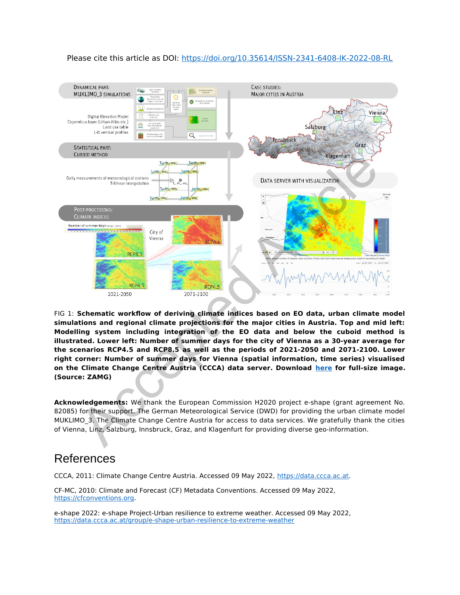



FIG 1: **Schematic workflow of deriving climate indices based on EO data, urban climate model simulations and regional climate projections for the major cities in Austria. Top and mid left: Modelling system including integration of the EO data and below the cuboid method is illustrated. Lower left: Number of summer days for the city of Vienna as a 30-year average for the scenarios RCP4.5 and RCP8.5 as well as the periods of 2021-2050 and 2071-2100. Lower right corner: Number of summer days for Vienna (spatial information, time series) visualised on the Climate Change Centre Austria (CCCA) data server. Download here for full-size image. (Source: ZAMG)**

**Acknowledgements:** We thank the European Commission H2020 project e-shape (grant agreement No. 82085) for their support. The German Meteorological Service (DWD) for providing the urban climate model MUKLIMO 3. The Climate Change Centre Austria for access to data services. We gratefully thank the cities of Vienna, Linz, Salzburg, Innsbruck, Graz, and Klagenfurt for providing diverse geo-information.

## References

CCCA, 2011: Climate Change Centre Austria. Accessed 09 May 2022, [https://data.ccca.ac.at](https://data.ccca.ac.at/).

CF-MC, 2010: Climate and Forecast (CF) Metadata Conventions. Accessed 09 May 2022, [https://cfconventions.org.](https://cfconventions.org/)

e-shape 2022: e-shape Project-Urban resilience to extreme weather. Accessed 09 May 2022, <https://data.ccca.ac.at/group/e-shape-urban-resilience-to-extreme-weather>